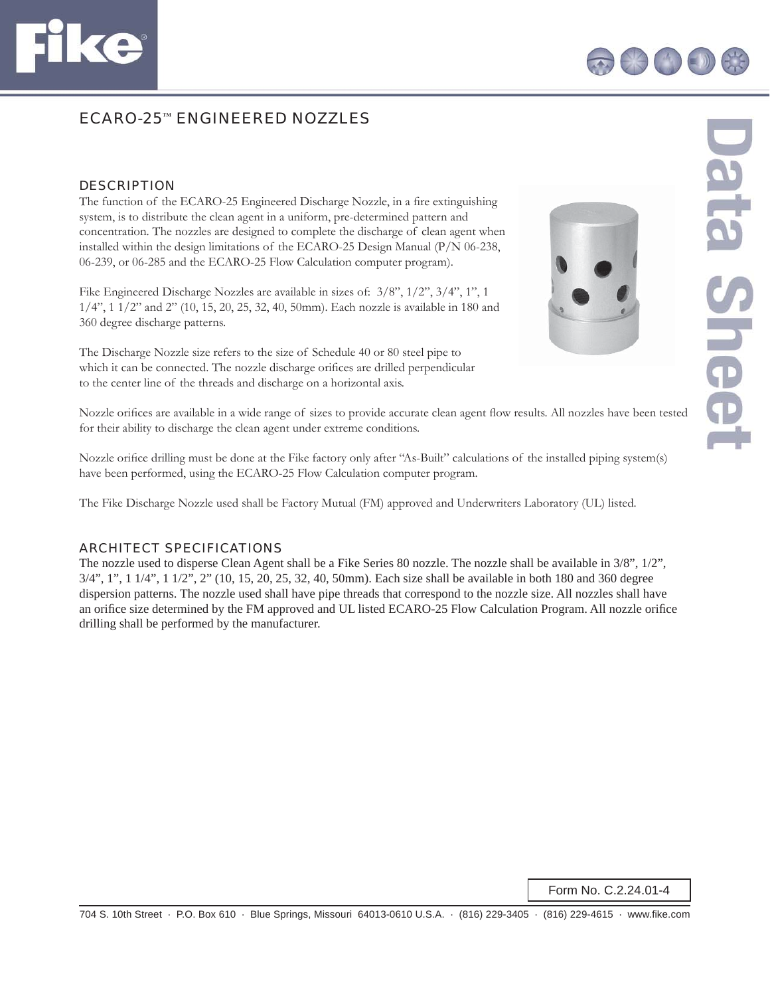

# ECARO-25™ ENGINEERED NOZZLES

#### **DESCRIPTION**

The function of the ECARO-25 Engineered Discharge Nozzle, in a fire extinguishing system, is to distribute the clean agent in a uniform, pre-determined pattern and concentration. The nozzles are designed to complete the discharge of clean agent when installed within the design limitations of the ECARO-25 Design Manual (P/N 06-238, 06-239, or 06-285 and the ECARO-25 Flow Calculation computer program).

Fike Engineered Discharge Nozzles are available in sizes of: 3/8", 1/2", 3/4", 1", 1 1/4", 1 1/2" and 2" (10, 15, 20, 25, 32, 40, 50mm). Each nozzle is available in 180 and 360 degree discharge patterns.

The Discharge Nozzle size refers to the size of Schedule 40 or 80 steel pipe to which it can be connected. The nozzle discharge orifices are drilled perpendicular to the center line of the threads and discharge on a horizontal axis.



Jata Shee

Nozzle orifices are available in a wide range of sizes to provide accurate clean agent flow results. All nozzles have been tested for their ability to discharge the clean agent under extreme conditions.

Nozzle orifice drilling must be done at the Fike factory only after "As-Built" calculations of the installed piping system(s) have been performed, using the ECARO-25 Flow Calculation computer program.

The Fike Discharge Nozzle used shall be Factory Mutual (FM) approved and Underwriters Laboratory (UL) listed.

### ARCHITECT SPECIFICATIONS

The nozzle used to disperse Clean Agent shall be a Fike Series 80 nozzle. The nozzle shall be available in 3/8", 1/2", 3/4", 1", 1 1/4", 1 1/2", 2" (10, 15, 20, 25, 32, 40, 50mm). Each size shall be available in both 180 and 360 degree dispersion patterns. The nozzle used shall have pipe threads that correspond to the nozzle size. All nozzles shall have an orifice size determined by the FM approved and UL listed ECARO-25 Flow Calculation Program. All nozzle orifice drilling shall be performed by the manufacturer.

Form No. C.2.24.01-4

704 S. 10th Street · P.O. Box 610 · Blue Springs, Missouri 64013-0610 U.S.A. · (816) 229-3405 · (816) 229-4615 · www.fike.com